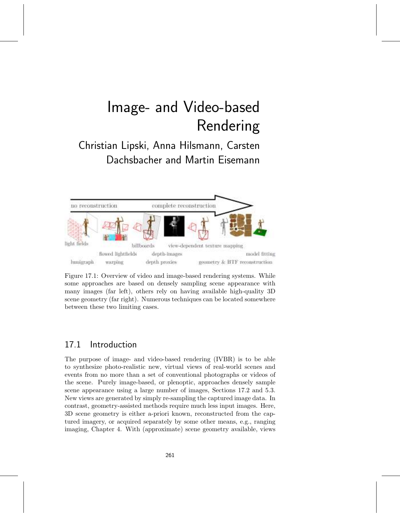Christian Lipski, Anna Hilsmann, Carsten Dachsbacher and Martin Eisemann



Figure 17.1: Overview of video and image-based rendering systems. While some approaches are based on densely sampling scene appearance with many images (far left), others rely on having available high-quality 3D scene geometry (far right). Numerous techniques can be located somewhere between these two limiting cases.

# 17.1 Introduction

The purpose of image- and video-based rendering (IVBR) is to be able to synthesize photo-realistic new, virtual views of real-world scenes and events from no more than a set of conventional photographs or videos of the scene. Purely image-based, or plenoptic, approaches densely sample scene appearance using a large number of images, Sections 17.2 and 5.3. New views are generated by simply re-sampling the captured image data. In contrast, geometry-assisted methods require much less input images. Here, 3D scene geometry is either a-priori known, reconstructed from the captured imagery, or acquired separately by some other means, e.g., ranging imaging, Chapter 4. With (approximate) scene geometry available, views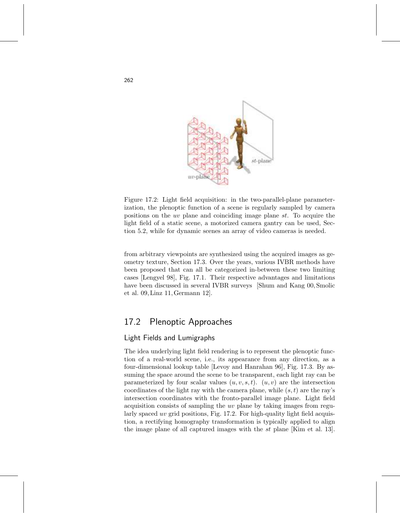

Figure 17.2: Light field acquisition: in the two-parallel-plane parameterization, the plenoptic function of a scene is regularly sampled by camera positions on the uv plane and coinciding image plane  $st$ . To acquire the light field of a static scene, a motorized camera gantry can be used, Section 5.2, while for dynamic scenes an array of video cameras is needed.

from arbitrary viewpoints are synthesized using the acquired images as geometry texture, Section 17.3. Over the years, various IVBR methods have been proposed that can all be categorized in-between these two limiting cases [Lengyel 98], Fig. 17.1. Their respective advantages and limitations have been discussed in several IVBR surveys [Shum and Kang 00, Smolic et al. 09, Linz 11, Germann 12].

# 17.2 Plenoptic Approaches

# Light Fields and Lumigraphs

The idea underlying light field rendering is to represent the plenoptic function of a real-world scene, i.e., its appearance from any direction, as a four-dimensional lookup table [Levoy and Hanrahan 96], Fig. 17.3. By assuming the space around the scene to be transparent, each light ray can be parameterized by four scalar values  $(u, v, s, t)$ .  $(u, v)$  are the intersection coordinates of the light ray with the camera plane, while  $(s, t)$  are the ray's intersection coordinates with the fronto-parallel image plane. Light field acquisition consists of sampling the uv plane by taking images from regularly spaced uv grid positions, Fig. 17.2. For high-quality light field acquistion, a rectifying homography transformation is typically applied to align the image plane of all captured images with the st plane [Kim et al. 13].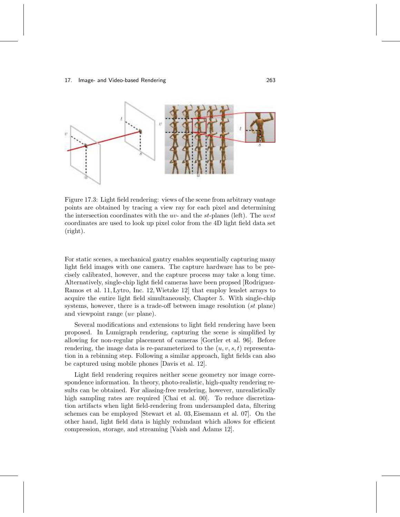

Figure 17.3: Light field rendering: views of the scene from arbitrary vantage points are obtained by tracing a view ray for each pixel and determining the intersection coordinates with the  $uv$ - and the st-planes (left). The  $uvst$ coordinates are used to look up pixel color from the 4D light field data set (right).

For static scenes, a mechanical gantry enables sequentially capturing many light field images with one camera. The capture hardware has to be precisely calibrated, however, and the capture process may take a long time. Alternatively, single-chip light field cameras have been propsed [Rodriguez-Ramos et al. 11, Lytro, Inc. 12,Wietzke 12] that employ lenslet arrays to acquire the entire light field simultaneously, Chapter 5. With single-chip systems, however, there is a trade-off between image resolution (st plane) and viewpoint range (uv plane).

Several modifications and extensions to light field rendering have been proposed. In Lumigraph rendering, capturing the scene is simplified by allowing for non-regular placement of cameras [Gortler et al. 96]. Before rendering, the image data is re-parameterized to the  $(u, v, s, t)$  representation in a rebinning step. Following a similar approach, light fields can also be captured using mobile phones [Davis et al. 12].

Light field rendering requires neither scene geometry nor image correspondence information. In theory, photo-realistic, high-qualty rendering results can be obtained. For aliasing-free rendering, however, unrealistically high sampling rates are required [Chai et al. 00]. To reduce discretization artifacts when light field-rendering from undersampled data, filtering schemes can be employed [Stewart et al. 03, Eisemann et al. 07]. On the other hand, light field data is highly redundant which allows for efficient compression, storage, and streaming [Vaish and Adams 12].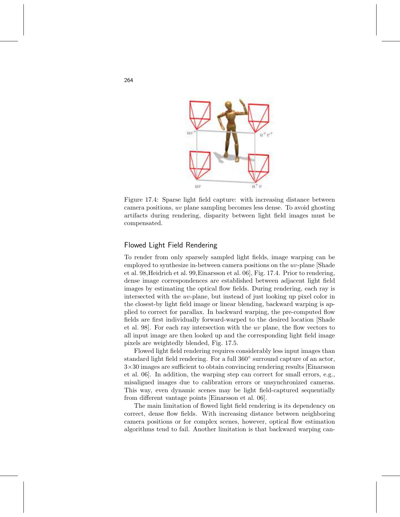

Figure 17.4: Sparse light field capture: with increasing distance between camera positions, uv plane sampling becomes less dense. To avoid ghosting artifacts during rendering, disparity between light field images must be compensated.

## Flowed Light Field Rendering

To render from only sparsely sampled light fields, image warping can be employed to synthesize in-between camera positions on the uv-plane [Shade et al. 98,Heidrich et al. 99,Einarsson et al. 06], Fig. 17.4. Prior to rendering, dense image correspondences are established between adjacent light field images by estimating the optical flow fields. During rendering, each ray is intersected with the uv-plane, but instead of just looking up pixel color in the closest-by light field image or linear blending, backward warping is applied to correct for parallax. In backward warping, the pre-computed flow fields are first individually forward-warped to the desired location [Shade et al. 98]. For each ray intersection with the uv plane, the flow vectors to all input image are then looked up and the corresponding light field image pixels are weightedly blended, Fig. 17.5.

Flowed light field rendering requires considerably less input images than standard light field rendering. For a full 360° surround capture of an actor, 3×30 images are sufficient to obtain convincing rendering results [Einarsson et al. 06]. In addition, the warping step can correct for small errors, e.g., misaligned images due to calibration errors or unsynchronized cameras. This way, even dynamic scenes may be light field-captured sequentially from different vantage points [Einarsson et al. 06].

The main limitation of flowed light field rendering is its dependency on correct, dense flow fields. With increasing distance between neighboring camera positions or for complex scenes, however, optical flow estimation algorithms tend to fail. Another limitation is that backward warping can-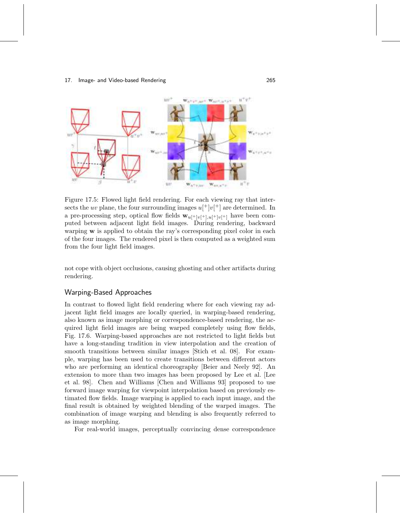

Figure 17.5: Flowed light field rendering. For each viewing ray that intersects the uv plane, the four surrounding images  $u[^+]v[^+$  are determined. In a pre-processing step, optical flow fields  $\mathbf{w}_{u[\pm|v[\pm],u[\pm|v[\pm]]}$  have been computed between adjacent light field images. During rendering, backward warping **w** is applied to obtain the ray's corresponding pixel color in each of the four images. The rendered pixel is then computed as a weighted sum from the four light field images.

not cope with object occlusions, causing ghosting and other artifacts during rendering.

## Warping-Based Approaches

In contrast to flowed light field rendering where for each viewing ray adjacent light field images are locally queried, in warping-based rendering, also known as image morphing or correspondence-based rendering, the acquired light field images are being warped completely using flow fields, Fig. 17.6. Warping-based approaches are not restricted to light fields but have a long-standing tradition in view interpolation and the creation of smooth transitions between similar images [Stich et al. 08]. For example, warping has been used to create transitions between different actors who are performing an identical choreography [Beier and Neely 92]. An extension to more than two images has been proposed by Lee et al. [Lee et al. 98]. Chen and Williams [Chen and Williams 93] proposed to use forward image warping for viewpoint interpolation based on previously estimated flow fields. Image warping is applied to each input image, and the final result is obtained by weighted blending of the warped images. The combination of image warping and blending is also frequently referred to as image morphing.

For real-world images, perceptually convincing dense correspondence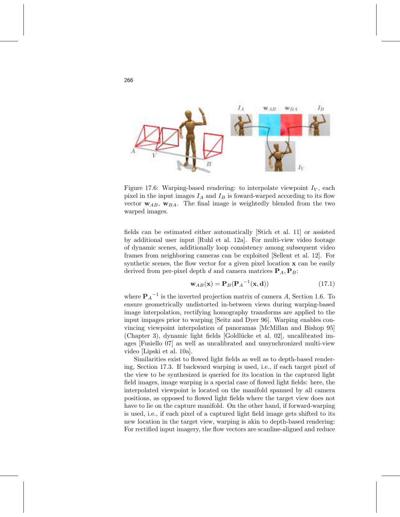

Figure 17.6: Warping-based rendering: to interpolate viewpoint  $I_V$ , each pixel in the input images  $I_A$  and  $I_B$  is foward-warped according to its flow vector  $w_{AB}$ ,  $w_{BA}$ . The final image is weightedly blended from the two warped images.

fields can be estimated either automatically [Stich et al. 11] or assisted by additional user input [Ruhl et al. 12a]. For multi-view video footage of dynamic scenes, additionally loop consistency among subsequent video frames from neighboring cameras can be exploited [Sellent et al. 12]. For synthetic scenes, the flow vector for a given pixel location  $x$  can be easily derived from per-pixel depth d and camera matrices  $P_A$ ,  $P_B$ :

$$
\mathbf{w}_{AB}(\mathbf{x}) = \mathbf{P}_B(\mathbf{P}_A^{-1}(\mathbf{x}, \mathbf{d})) \tag{17.1}
$$

where  $P_A^{-1}$  is the inverted projection matrix of camera A, Section 1.6. To ensure geometrically undistorted in-between views during warping-based image interpolation, rectifying homography transforms are applied to the input impages prior to warping [Seitz and Dyer 96]. Warping enables convincing viewpoint interpolation of panoramas [McMillan and Bishop 95] (Chapter 3), dynamic light fields [Goldlücke et al. 02], uncalibrated images [Fusiello 07] as well as uncalibrated and unsynchronized multi-view video [Lipski et al. 10a].

Similarities exist to flowed light fields as well as to depth-based rendering, Section 17.3. If backward warping is used, i.e., if each target pixel of the view to be synthesized is queried for its location in the captured light field images, image warping is a special case of flowed light fields: here, the interpolated viewpoint is located on the manifold spanned by all camera positions, as opposed to flowed light fields where the target view does not have to lie on the capture manifold. On the other hand, if forward-warping is used, i.e., if each pixel of a captured light field image gets shifted to its new location in the target view, warping is akin to depth-based rendering: For rectified input imagery, the flow vectors are scanline-aligned and reduce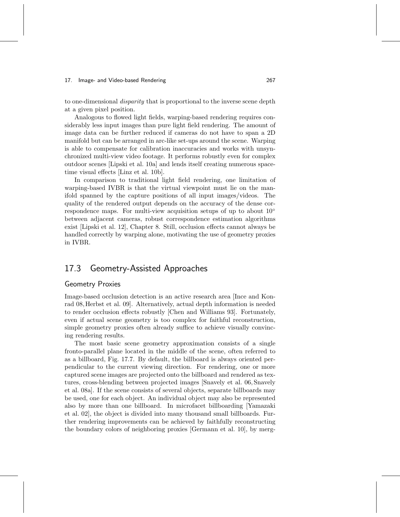to one-dimensional disparity that is proportional to the inverse scene depth at a given pixel position.

Analogous to flowed light fields, warping-based rendering requires considerably less input images than pure light field rendering. The amount of image data can be further reduced if cameras do not have to span a 2D manifold but can be arranged in arc-like set-ups around the scene. Warping is able to compensate for calibration inaccuracies and works with unsynchronized multi-view video footage. It performs robustly even for complex outdoor scenes [Lipski et al. 10a] and lends itself creating numerous spacetime visual effects [Linz et al. 10b].

In comparison to traditional light field rendering, one limitation of warping-based IVBR is that the virtual viewpoint must lie on the manifold spanned by the capture positions of all input images/videos. The quality of the rendered output depends on the accuracy of the dense correspondence maps. For multi-view acquisition setups of up to about 10◦ between adjacent cameras, robust correspondence estimation algorithms exist [Lipski et al. 12], Chapter 8. Still, occlusion effects cannot always be handled correctly by warping alone, motivating the use of geometry proxies in IVBR.

# 17.3 Geometry-Assisted Approaches

## Geometry Proxies

Image-based occlusion detection is an active research area [Ince and Konrad 08,Herbst et al. 09]. Alternatively, actual depth information is needed to render occlusion effects robustly [Chen and Williams 93]. Fortunately, even if actual scene geometry is too complex for faithful reconstruction, simple geometry proxies often already suffice to achieve visually convincing rendering results.

The most basic scene geometry approximation consists of a single fronto-parallel plane located in the middle of the scene, often referred to as a billboard, Fig. 17.7. By default, the billboard is always oriented perpendicular to the current viewing direction. For rendering, one or more captured scene images are projected onto the billboard and rendered as textures, cross-blending between projected images [Snavely et al. 06, Snavely et al. 08a]. If the scene consists of several objects, separate billboards may be used, one for each object. An individual object may also be represented also by more than one billboard. In microfacet billboarding [Yamazaki et al. 02], the object is divided into many thousand small billboards. Further rendering improvements can be achieved by faithfully reconstructing the boundary colors of neighboring proxies [Germann et al. 10], by merg-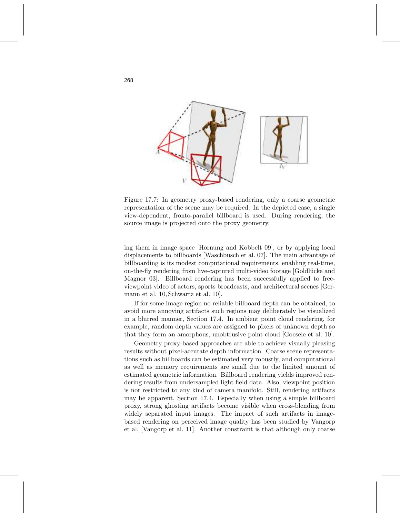

Figure 17.7: In geometry proxy-based rendering, only a coarse geometric representation of the scene may be required. In the depicted case, a single view-dependent, fronto-parallel billboard is used. During rendering, the source image is projected onto the proxy geometry.

ing them in image space [Hornung and Kobbelt 09], or by applying local displacements to billboards [Waschbüsch et al. 07]. The main advantage of billboarding is its modest computational requirements, enabling real-time, on-the-fly rendering from live-captured multi-video footage [Goldlücke and Magnor 03]. Billboard rendering has been successfully applied to freeviewpoint video of actors, sports broadcasts, and architectural scenes [Germann et al. 10, Schwartz et al. 10].

If for some image region no reliable billboard depth can be obtained, to avoid more annoying artifacts such regions may deliberately be visualized in a blurred manner, Section 17.4. In ambient point cloud rendering, for example, random depth values are assigned to pixels of unknown depth so that they form an amorphous, unobtrusive point cloud [Goesele et al. 10].

Geometry proxy-based approaches are able to achieve visually pleasing results without pixel-accurate depth information. Coarse scene representations such as billboards can be estimated very robustly, and computational as well as memory requirements are small due to the limited amount of estimated geometric information. Billboard rendering yields improved rendering results from undersampled light field data. Also, viewpoint position is not restricted to any kind of camera manifold. Still, rendering artifacts may be apparent, Section 17.4. Especially when using a simple billboard proxy, strong ghosting artifacts become visible when cross-blending from widely separated input images. The impact of such artifacts in imagebased rendering on perceived image quality has been studied by Vangorp et al. [Vangorp et al. 11]. Another constraint is that although only coarse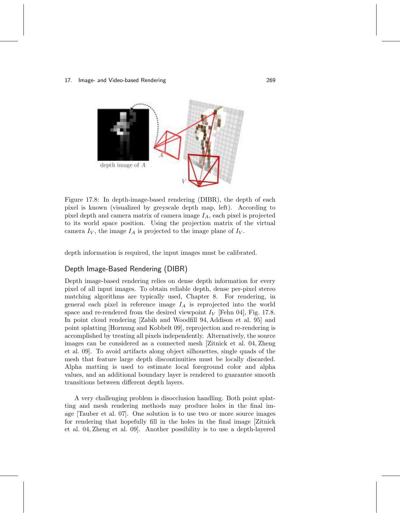

Figure 17.8: In depth-image-based rendering (DIBR), the depth of each pixel is known (visualized by greyscale depth map, left). According to pixel depth and camera matrix of camera image  $I_A$ , each pixel is projected to its world space position. Using the projection matrix of the virtual camera  $I_V$ , the image  $I_A$  is projected to the image plane of  $I_V$ .

depth information is required, the input images must be calibrated.

# Depth Image-Based Rendering (DIBR)

Depth image-based rendering relies on dense depth information for every pixel of all input images. To obtain reliable depth, dense per-pixel stereo matching algorithms are typically used, Chapter 8. For rendering, in general each pixel in reference image  $I_A$  is reprojected into the world space and re-rendered from the desired viewpoint  $I_V$  [Fehn 04], Fig. 17.8. In point cloud rendering [Zabih and Woodfill 94, Addison et al. 95] and point splatting [Hornung and Kobbelt 09], reprojection and re-rendering is accomplished by treating all pixels independently. Alternatively, the source images can be considered as a connected mesh [Zitnick et al. 04, Zheng et al. 09]. To avoid artifacts along object silhouettes, single quads of the mesh that feature large depth discontinuities must be locally discarded. Alpha matting is used to estimate local foreground color and alpha values, and an additional boundary layer is rendered to guarantee smooth transitions between different depth layers.

A very challenging problem is disocclusion handling. Both point splatting and mesh rendering methods may produce holes in the final image [Tauber et al. 07]. One solution is to use two or more source images for rendering that hopefully fill in the holes in the final image [Zitnick et al. 04, Zheng et al. 09]. Another possibility is to use a depth-layered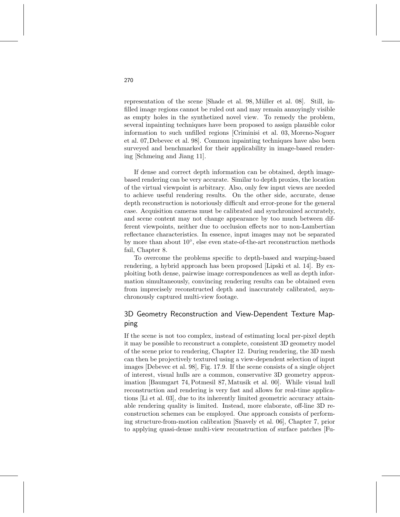representation of the scene [Shade et al. 98, Müller et al. 08]. Still, infilled image regions cannot be ruled out and may remain annoyingly visible as empty holes in the synthetized novel view. To remedy the problem, several inpainting techniques have been proposed to assign plausible color information to such unfilled regions [Criminisi et al. 03, Moreno-Noguer et al. 07,Debevec et al. 98]. Common inpainting techniques have also been surveyed and benchmarked for their applicability in image-based rendering [Schmeing and Jiang 11].

If dense and correct depth information can be obtained, depth imagebased rendering can be very accurate. Similar to depth proxies, the location of the virtual viewpoint is arbitrary. Also, only few input views are needed to achieve useful rendering results. On the other side, accurate, dense depth reconstruction is notoriously difficult and error-prone for the general case. Acquisition cameras must be calibrated and synchronized accurately, and scene content may not change appearance by too much between different viewpoints, neither due to occlusion effects nor to non-Lambertian reflectance characteristics. In essence, input images may not be separated by more than about  $10^{\circ}$ , else even state-of-the-art reconstruction methods fail, Chapter 8.

To overcome the problems specific to depth-based and warping-based rendering, a hybrid approach has been proposed [Lipski et al. 14]. By exploiting both dense, pairwise image correspondences as well as depth information simultaneously, convincing rendering results can be obtained even from imprecisely reconstructed depth and inaccurately calibrated, asynchronously captured multi-view footage.

# 3D Geometry Reconstruction and View-Dependent Texture Mapping

If the scene is not too complex, instead of estimating local per-pixel depth it may be possible to reconstruct a complete, consistent 3D geometry model of the scene prior to rendering, Chapter 12. During rendering, the 3D mesh can then be projectively textured using a view-dependent selection of input images [Debevec et al. 98], Fig. 17.9. If the scene consists of a single object of interest, visual hulls are a common, conservative 3D geometry approximation [Baumgart 74, Potmesil 87, Matusik et al. 00]. While visual hull reconstruction and rendering is very fast and allows for real-time applications [Li et al. 03], due to its inherently limited geometric accuracy attainable rendering quality is limited. Instead, more elaborate, off-line 3D reconstruction schemes can be employed. One approach consists of performing structure-from-motion calibration [Snavely et al. 06], Chapter 7, prior to applying quasi-dense multi-view reconstruction of surface patches [Fu-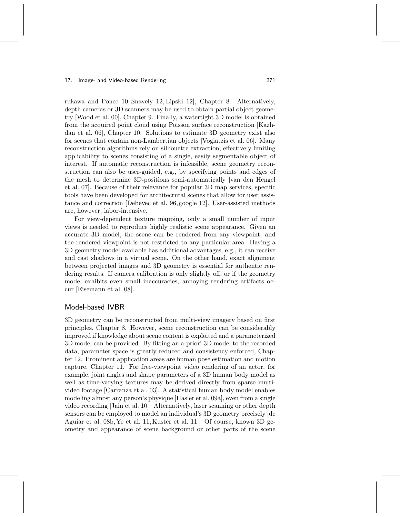rukawa and Ponce 10, Snavely 12, Lipski 12], Chapter 8. Alternatively, depth cameras or 3D scanners may be used to obtain partial object geometry [Wood et al. 00], Chapter 9. Finally, a watertight 3D model is obtained from the acquired point cloud using Poisson surface reconstruction [Kazhdan et al. 06], Chapter 10. Solutions to estimate 3D geometry exist also for scenes that contain non-Lambertian objects [Vogiatzis et al. 06]. Many reconstruction algorithms rely on silhouette extraction, effectively limiting applicability to scenes consisting of a single, easily segmentable object of interest. If automatic reconstruction is infeasible, scene geometry reconstruction can also be user-guided, e.g., by specifying points and edges of the mesh to determine 3D-positions semi-automatically [van den Hengel et al. 07]. Because of their relevance for popular 3D map services, specific tools have been developed for architectural scenes that allow for user assistance and correction [Debevec et al. 96, google 12]. User-assisted methods are, however, labor-intensive.

For view-dependent texture mapping, only a small number of input views is needed to reproduce highly realistic scene appearance. Given an accurate 3D model, the scene can be rendered from any viewpoint, and the rendered viewpoint is not restricted to any particular area. Having a 3D geometry model available has additional advantages, e.g., it can receive and cast shadows in a virtual scene. On the other hand, exact alignment between projected images and 3D geometry is essential for authentic rendering results. If camera calibration is only slightly off, or if the geometry model exhibits even small inaccuracies, annoying rendering artifacts occur [Eisemann et al. 08].

### Model-based IVBR

3D geometry can be reconstructed from multi-view imagery based on first principles, Chapter 8. However, scene reconstruction can be considerably improved if knowledge about scene content is exploited and a parameterized 3D model can be provided. By fitting an a-priori 3D model to the recorded data, parameter space is greatly reduced and consistency enforced, Chapter 12. Prominent application areas are human pose estimation and motion capture, Chapter 11. For free-viewpoint video rendering of an actor, for example, joint angles and shape parameters of a 3D human body model as well as time-varying textures may be derived directly from sparse multivideo footage [Carranza et al. 03]. A statistical human body model enables modeling almost any person's physique [Hasler et al. 09a], even from a single video recording [Jain et al. 10]. Alternatively, laser scanning or other depth sensors can be employed to model an individual's 3D geometry precisely [de Aguiar et al. 08b, Ye et al. 11, Kuster et al. 11]. Of course, known 3D geometry and appearance of scene background or other parts of the scene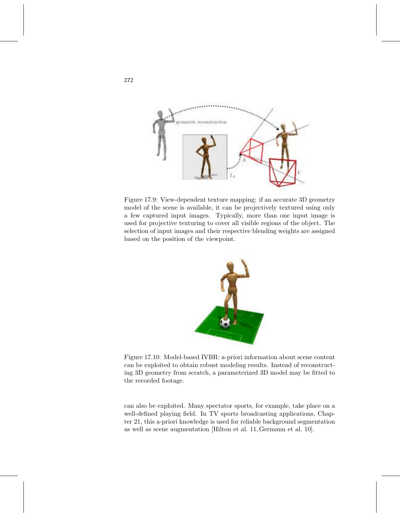

Figure 17.9: View-dependent texture mapping: if an accurate 3D geometry model of the scene is available, it can be projectively textured using only a few captured input images. Typically, more than one input image is used for projective texturing to cover all visible regions of the object. The selection of input images and their respective blending weights are assigned based on the position of the viewpoint.



Figure 17.10: Model-based IVBR: a-priori information about scene content can be exploited to obtain robust modeling results. Instead of reconstructing 3D geometry from scratch, a parameterized 3D model may be fitted to the recorded footage.

can also be exploited. Many spectator sports, for example, take place on a well-defined playing field. In TV sports broadcasting applications, Chapter 21, this a-priori knowledge is used for reliable background segmentation as well as scene augmentation [Hilton et al. 11, Germann et al. 10].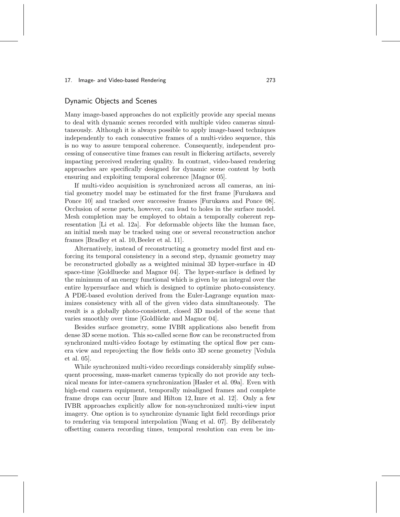## Dynamic Objects and Scenes

Many image-based approaches do not explicitly provide any special means to deal with dynamic scenes recorded with multiple video cameras simultaneously. Although it is always possible to apply image-based techniques independently to each consecutive frames of a multi-video sequence, this is no way to assure temporal coherence. Consequently, independent processing of consecutive time frames can result in flickering artifacts, severely impacting perceived rendering quality. In contrast, video-based rendering approaches are specifically designed for dynamic scene content by both ensuring and exploiting temporal coherence [Magnor 05].

If multi-video acquisition is synchronized across all cameras, an initial geometry model may be estimated for the first frame [Furukawa and Ponce 10] and tracked over successive frames [Furukawa and Ponce 08]. Occlusion of scene parts, however, can lead to holes in the surface model. Mesh completion may be employed to obtain a temporally coherent representation [Li et al. 12a]. For deformable objects like the human face, an initial mesh may be tracked using one or several reconstruction anchor frames [Bradley et al. 10, Beeler et al. 11].

Alternatively, instead of reconstructing a geometry model first and enforcing its temporal consistency in a second step, dynamic geometry may be reconstructed globally as a weighted minimal 3D hyper-surface in 4D space-time [Goldluecke and Magnor 04]. The hyper-surface is defined by the minimum of an energy functional which is given by an integral over the entire hypersurface and which is designed to optimize photo-consistency. A PDE-based evolution derived from the Euler-Lagrange equation maximizes consistency with all of the given video data simultaneously. The result is a globally photo-consistent, closed 3D model of the scene that varies smoothly over time [Goldlücke and Magnor 04].

Besides surface geometry, some IVBR applications also benefit from dense 3D scene motion. This so-called scene flow can be reconstructed from synchronized multi-video footage by estimating the optical flow per camera view and reprojecting the flow fields onto 3D scene geometry [Vedula et al. 05].

While synchronized multi-video recordings considerably simplify subsequent processing, mass-market cameras typically do not provide any technical means for inter-camera synchronization [Hasler et al. 09a]. Even with high-end camera equipment, temporally misaligned frames and complete frame drops can occur [Imre and Hilton 12, Imre et al. 12]. Only a few IVBR approaches explicitly allow for non-synchronized multi-view input imagery. One option is to synchronize dynamic light field recordings prior to rendering via temporal interpolation [Wang et al. 07]. By deliberately offsetting camera recording times, temporal resolution can even be im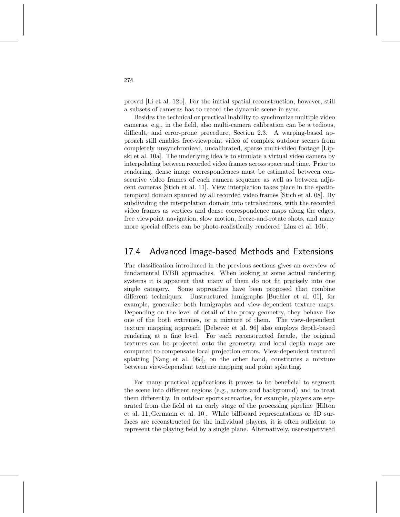proved [Li et al. 12b]. For the initial spatial reconstruction, however, still a subsets of cameras has to record the dynamic scene in sync.

Besides the technical or practical inability to synchronize multiple video cameras, e.g., in the field, also multi-camera calibration can be a tedious, difficult, and error-prone procedure, Section 2.3. A warping-based approach still enables free-viewpoint video of complex outdoor scenes from completely unsynchronized, uncalibrated, sparse multi-video footage [Lipski et al. 10a]. The underlying idea is to simulate a virtual video camera by interpolating between recorded video frames across space and time. Prior to rendering, dense image correspondences must be estimated between consecutive video frames of each camera sequence as well as between adjacent cameras [Stich et al. 11]. View interplation takes place in the spatiotemporal domain spanned by all recorded video frames [Stich et al. 08]. By subdividing the interpolation domain into tetrahedrons, with the recorded video frames as vertices and dense correspondence maps along the edges, free viewpoint navigation, slow motion, freeze-and-rotate shots, and many more special effects can be photo-realistically rendered [Linz et al. 10b].

# 17.4 Advanced Image-based Methods and Extensions

The classification introduced in the previous sections gives an overview of fundamental IVBR approaches. When looking at some actual rendering systems it is apparent that many of them do not fit precisely into one single category. Some approaches have been proposed that combine different techniques. Unstructured lumigraphs [Buehler et al. 01], for example, generalize both lumigraphs and view-dependent texture maps. Depending on the level of detail of the proxy geometry, they behave like one of the both extremes, or a mixture of them. The view-dependent texture mapping approach [Debevec et al. 96] also employs depth-based rendering at a fine level. For each reconstructed facade, the original textures can be projected onto the geometry, and local depth maps are computed to compensate local projection errors. View-dependent textured splatting [Yang et al. 06c], on the other hand, constitutes a mixture between view-dependent texture mapping and point splatting.

For many practical applications it proves to be beneficial to segment the scene into different regions (e.g., actors and background) and to treat them differently. In outdoor sports scenarios, for example, players are separated from the field at an early stage of the processing pipeline [Hilton et al. 11, Germann et al. 10]. While billboard representations or 3D surfaces are reconstructed for the individual players, it is often sufficient to represent the playing field by a single plane. Alternatively, user-supervised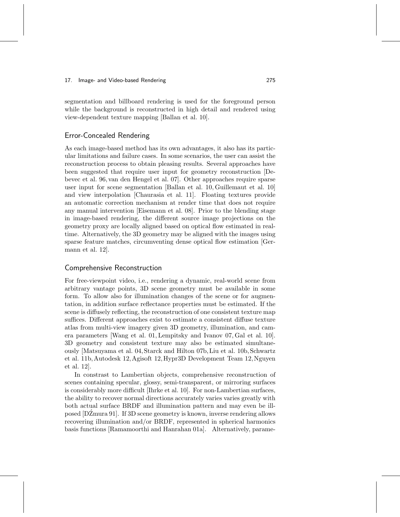segmentation and billboard rendering is used for the foreground person while the background is reconstructed in high detail and rendered using view-dependent texture mapping [Ballan et al. 10].

## Error-Concealed Rendering

As each image-based method has its own advantages, it also has its particular limitations and failure cases. In some scenarios, the user can assist the reconstruction process to obtain pleasing results. Several approaches have been suggested that require user input for geometry reconstruction [Debevec et al. 96, van den Hengel et al. 07]. Other approaches require sparse user input for scene segmentation [Ballan et al. 10, Guillemaut et al. 10] and view interpolation [Chaurasia et al. 11]. Floating textures provide an automatic correction mechanism at render time that does not require any manual intervention [Eisemann et al. 08]. Prior to the blending stage in image-based rendering, the different source image projections on the geometry proxy are locally aligned based on optical flow estimated in realtime. Alternatively, the 3D geometry may be aligned with the images using sparse feature matches, circumventing dense optical flow estimation [Germann et al. 12].

## Comprehensive Reconstruction

For free-viewpoint video, i.e., rendering a dynamic, real-world scene from arbitrary vantage points, 3D scene geometry must be available in some form. To allow also for illumination changes of the scene or for augmentation, in addition surface reflectance properties must be estimated. If the scene is diffusely reflecting, the reconstruction of one consistent texture map suffices. Different approaches exist to estimate a consistent diffuse texture atlas from multi-view imagery given 3D geometry, illumination, and camera parameters [Wang et al. 01, Lempitsky and Ivanov 07, Gal et al. 10]. 3D geometry and consistent texture may also be estimated simultaneously [Matsuyama et al. 04, Starck and Hilton 07b,Liu et al. 10b, Schwartz et al. 11b,Autodesk 12,Agisoft 12,Hypr3D Development Team 12,Nguyen et al. 12].

In constrast to Lambertian objects, comprehensive reconstruction of scenes containing specular, glossy, semi-transparent, or mirroring surfaces is considerably more difficult [Ihrke et al. 10]. For non-Lambertian surfaces, the ability to recover normal directions accurately varies varies greatly with both actual surface BRDF and illumination pattern and may even be illposed  $[D\angle Zmura 91]$ . If 3D scene geometry is known, inverse rendering allows recovering illumination and/or BRDF, represented in spherical harmonics basis functions [Ramamoorthi and Hanrahan 01a]. Alternatively, parame-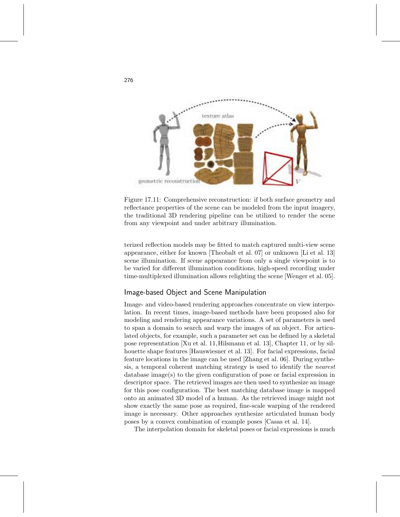

Figure 17.11: Comprehensive reconstruction: if both surface geometry and reflectance properties of the scene can be modeled from the input imagery, the traditional 3D rendering pipeline can be utilized to render the scene from any viewpoint and under arbitrary illumination.

terized reflection models may be fitted to match captured multi-view scene appearance, either for known [Theobalt et al. 07] or unknown [Li et al. 13] scene illumination. If scene appearance from only a single viewpoint is to be varied for different illumination conditions, high-speed recording under time-multiplexed illumination allows relighting the scene [Wenger et al. 05].

## Image-based Object and Scene Manipulation

Image- and video-based rendering approaches concentrate on view interpolation. In recent times, image-based methods have been proposed also for modeling and rendering appearance variations. A set of parameters is used to span a domain to search and warp the images of an object. For articulated objects, for example, such a parameter set can be defined by a skeletal pose representation [Xu et al. 11,Hilsmann et al. 13], Chapter 11, or by silhouette shape features [Hauswiesner et al. 13]. For facial expressions, facial feature locations in the image can be used [Zhang et al. 06]. During synthesis, a temporal coherent matching strategy is used to identify the nearest database image(s) to the given configuration of pose or facial expression in descriptor space. The retrieved images are then used to synthesize an image for this pose configuration. The best matching database image is mapped onto an animated 3D model of a human. As the retrieved image might not show exactly the same pose as required, fine-scale warping of the rendered image is necessary. Other approaches synthesize articulated human body poses by a convex combination of example poses [Casas et al. 14].

The interpolation domain for skeletal poses or facial expressions is much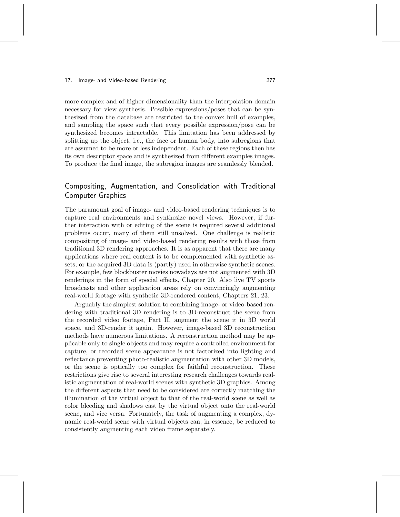more complex and of higher dimensionality than the interpolation domain necessary for view synthesis. Possible expressions/poses that can be synthesized from the database are restricted to the convex hull of examples, and sampling the space such that every possible expression/pose can be synthesized becomes intractable. This limitation has been addressed by splitting up the object, i.e., the face or human body, into subregions that are assumed to be more or less independent. Each of these regions then has its own descriptor space and is synthesized from different examples images. To produce the final image, the subregion images are seamlessly blended.

# Compositing, Augmentation, and Consolidation with Traditional Computer Graphics

The paramount goal of image- and video-based rendering techniques is to capture real environments and synthesize novel views. However, if further interaction with or editing of the scene is required several additional problems occur, many of them still unsolved. One challenge is realistic compositing of image- and video-based rendering results with those from traditional 3D rendering approaches. It is as apparent that there are many applications where real content is to be complemented with synthetic assets, or the acquired 3D data is (partly) used in otherwise synthetic scenes. For example, few blockbuster movies nowadays are not augmented with 3D renderings in the form of special effects, Chapter 20. Also live TV sports broadcasts and other application areas rely on convincingly augmenting real-world footage with synthetic 3D-rendered content, Chapters 21, 23.

Arguably the simplest solution to combining image- or video-based rendering with traditional 3D rendering is to 3D-reconstruct the scene from the recorded video footage, Part II, augment the scene it in 3D world space, and 3D-render it again. However, image-based 3D reconstruction methods have numerous limitations. A reconstruction method may be applicable only to single objects and may require a controlled environment for capture, or recorded scene appearance is not factorized into lighting and reflectance preventing photo-realistic augmentation with other 3D models, or the scene is optically too complex for faithful reconstruction. These restrictions give rise to several interesting research challenges towards realistic augmentation of real-world scenes with synthetic 3D graphics. Among the different aspects that need to be considered are correctly matching the illumination of the virtual object to that of the real-world scene as well as color bleeding and shadows cast by the virtual object onto the real-world scene, and vice versa. Fortunately, the task of augmenting a complex, dynamic real-world scene with virtual objects can, in essence, be reduced to consistently augmenting each video frame separately.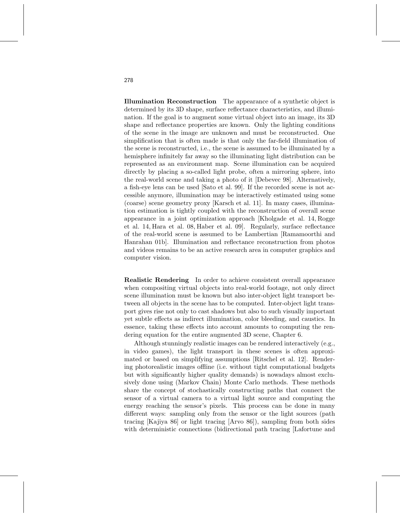Illumination Reconstruction The appearance of a synthetic object is determined by its 3D shape, surface reflectance characteristics, and illumination. If the goal is to augment some virtual object into an image, its 3D shape and reflectance properties are known. Only the lighting conditions of the scene in the image are unknown and must be reconstructed. One simplification that is often made is that only the far-field illumination of the scene is reconstructed, i.e., the scene is assumed to be illuminated by a hemisphere infinitely far away so the illuminating light distribution can be represented as an environment map. Scene illumination can be acquired directly by placing a so-called light probe, often a mirroring sphere, into the real-world scene and taking a photo of it [Debevec 98]. Alternatively, a fish-eye lens can be used [Sato et al. 99]. If the recorded scene is not accessible anymore, illumination may be interactively estimated using some (coarse) scene geometry proxy [Karsch et al. 11]. In many cases, illumination estimation is tightly coupled with the reconstruction of overall scene appearance in a joint optimization approach [Kholgade et al. 14, Rogge et al. 14, Hara et al. 08, Haber et al. 09]. Regularly, surface reflectance of the real-world scene is assumed to be Lambertian [Ramamoorthi and Hanrahan 01b]. Illumination and reflectance reconstruction from photos and videos remains to be an active research area in computer graphics and computer vision.

Realistic Rendering In order to achieve consistent overall appearance when compositing virtual objects into real-world footage, not only direct scene illumination must be known but also inter-object light transport between all objects in the scene has to be computed. Inter-object light transport gives rise not only to cast shadows but also to such visually important yet subtle effects as indirect illumination, color bleeding, and caustics. In essence, taking these effects into account amounts to computing the rendering equation for the entire augmented 3D scene, Chapter 6.

Although stunningly realistic images can be rendered interactively (e.g., in video games), the light transport in these scenes is often approximated or based on simplifying assumptions [Ritschel et al. 12]. Rendering photorealistic images offline (i.e. without tight computational budgets but with significantly higher quality demands) is nowadays almost exclusively done using (Markov Chain) Monte Carlo methods. These methods share the concept of stochastically constructing paths that connect the sensor of a virtual camera to a virtual light source and computing the energy reaching the sensor's pixels. This process can be done in many different ways: sampling only from the sensor or the light sources (path tracing [Kajiya 86] or light tracing [Arvo 86]), sampling from both sides with deterministic connections (bidirectional path tracing [Lafortune and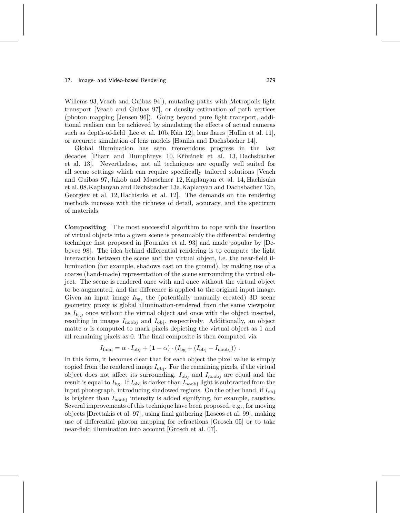Willems 93, Veach and Guibas 94]), mutating paths with Metropolis light transport [Veach and Guibas 97], or density estimation of path vertices (photon mapping [Jensen 96]). Going beyond pure light transport, additional realism can be achieved by simulating the effects of actual cameras such as depth-of-field [Lee et al. 10b, Kan 12], lens flares [Hullin et al. 11], or accurate simulation of lens models [Hanika and Dachsbacher 14].

Global illumination has seen tremendous progress in the last decades [Pharr and Humphreys 10, Křivánek et al. 13, Dachsbacher et al. 13]. Nevertheless, not all techniques are equally well suited for all scene settings which can require specifically tailored solutions [Veach and Guibas 97, Jakob and Marschner 12, Kaplanyan et al. 14, Hachisuka et al. 08,Kaplanyan and Dachsbacher 13a,Kaplanyan and Dachsbacher 13b, Georgiev et al. 12, Hachisuka et al. 12]. The demands on the rendering methods increase with the richness of detail, accuracy, and the spectrum of materials.

Compositing The most successful algorithm to cope with the insertion of virtual objects into a given scene is presumably the differential rendering technique first proposed in [Fournier et al. 93] and made popular by [Debevec 98]. The idea behind differential rendering is to compute the light interaction between the scene and the virtual object, i.e. the near-field illumination (for example, shadows cast on the ground), by making use of a coarse (hand-made) representation of the scene surrounding the virtual object. The scene is rendered once with and once without the virtual object to be augmented, and the difference is applied to the original input image. Given an input image  $I_{\text{bg}}$ , the (potentially manually created) 3D scene geometry proxy is global illumination-rendered from the same viewpoint as  $I_{\text{bg}}$ , once without the virtual object and once with the object inserted, resulting in images  $I_{\text{noobj}}$  and  $I_{\text{obj}}$ , respectively. Additionally, an object matte  $\alpha$  is computed to mark pixels depicting the virtual object as 1 and all remaining pixels as 0. The final composite is then computed via

$$
I_{\text{final}} = \alpha \cdot I_{\text{obj}} + (1 - \alpha) \cdot (I_{\text{bg}} + (I_{\text{obj}} - I_{\text{noobj}})).
$$

In this form, it becomes clear that for each object the pixel value is simply copied from the rendered image  $I_{obj}$ . For the remaining pixels, if the virtual object does not affect its surrounding,  $I_{obj}$  and  $I_{\text{noobj}}$  are equal and the result is equal to  $I_{\text{bg}}$ . If  $I_{\text{obj}}$  is darker than  $I_{\text{noobj}}$  light is subtracted from the input photograph, introducing shadowed regions. On the other hand, if  $I_{obj}$ is brighter than  $I_{\text{noobj}}$  intensity is added signifying, for example, caustics. Several improvements of this technique have been proposed, e.g., for moving objects [Drettakis et al. 97], using final gathering [Loscos et al. 99], making use of differential photon mapping for refractions [Grosch 05] or to take near-field illumination into account [Grosch et al. 07].